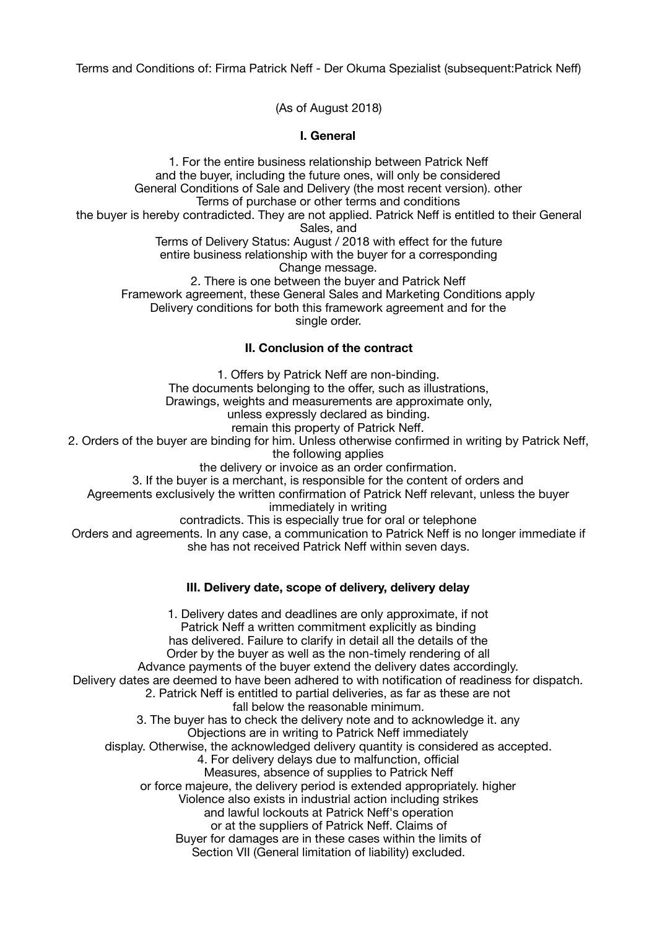Terms and Conditions of: Firma Patrick Neff - Der Okuma Spezialist (subsequent:Patrick Neff)

(As of August 2018)

# **I. General**

1. For the entire business relationship between Patrick Neff and the buyer, including the future ones, will only be considered General Conditions of Sale and Delivery (the most recent version). other Terms of purchase or other terms and conditions the buyer is hereby contradicted. They are not applied. Patrick Neff is entitled to their General Sales, and Terms of Delivery Status: August / 2018 with effect for the future entire business relationship with the buyer for a corresponding Change message. 2. There is one between the buyer and Patrick Neff Framework agreement, these General Sales and Marketing Conditions apply Delivery conditions for both this framework agreement and for the single order.

# **II. Conclusion of the contract**

1. Offers by Patrick Neff are non-binding. The documents belonging to the offer, such as illustrations, Drawings, weights and measurements are approximate only, unless expressly declared as binding. remain this property of Patrick Neff. 2. Orders of the buyer are binding for him. Unless otherwise confirmed in writing by Patrick Neff, the following applies the delivery or invoice as an order confirmation. 3. If the buyer is a merchant, is responsible for the content of orders and Agreements exclusively the written confirmation of Patrick Neff relevant, unless the buyer immediately in writing contradicts. This is especially true for oral or telephone Orders and agreements. In any case, a communication to Patrick Neff is no longer immediate if she has not received Patrick Neff within seven days. **III. Delivery date, scope of delivery, delivery delay**  1. Delivery dates and deadlines are only approximate, if not Patrick Neff a written commitment explicitly as binding has delivered. Failure to clarify in detail all the details of the Order by the buyer as well as the non-timely rendering of all Advance payments of the buyer extend the delivery dates accordingly. Delivery dates are deemed to have been adhered to with notification of readiness for dispatch. 2. Patrick Neff is entitled to partial deliveries, as far as these are not fall below the reasonable minimum. 3. The buyer has to check the delivery note and to acknowledge it. any

Objections are in writing to Patrick Neff immediately

display. Otherwise, the acknowledged delivery quantity is considered as accepted.

4. For delivery delays due to malfunction, official

Measures, absence of supplies to Patrick Neff

or force majeure, the delivery period is extended appropriately. higher

Violence also exists in industrial action including strikes

and lawful lockouts at Patrick Neff's operation

or at the suppliers of Patrick Neff. Claims of

Buyer for damages are in these cases within the limits of

Section VII (General limitation of liability) excluded.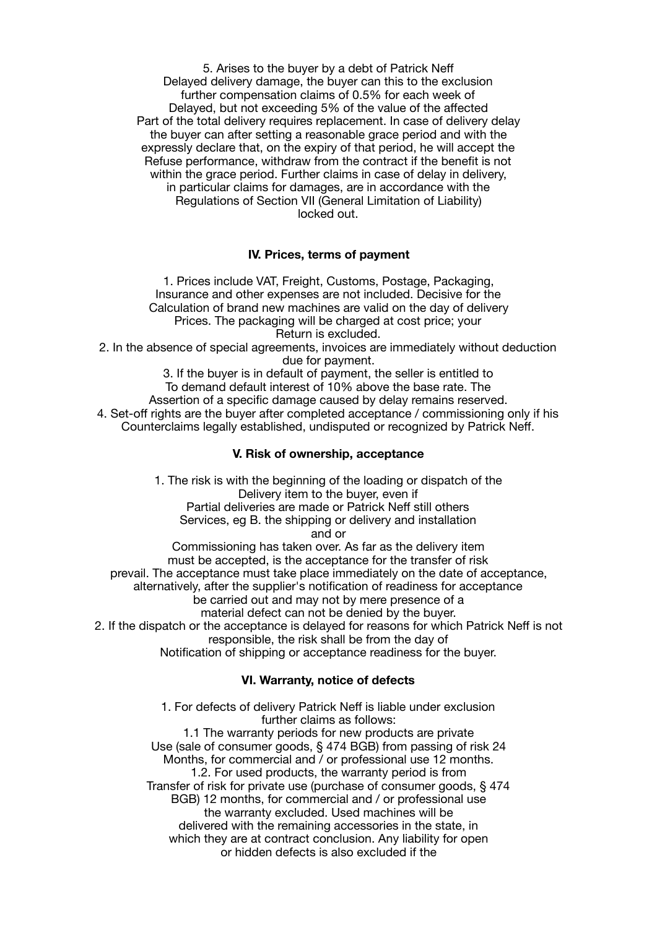5. Arises to the buyer by a debt of Patrick Neff Delayed delivery damage, the buyer can this to the exclusion further compensation claims of 0.5% for each week of Delayed, but not exceeding 5% of the value of the affected Part of the total delivery requires replacement. In case of delivery delay the buyer can after setting a reasonable grace period and with the expressly declare that, on the expiry of that period, he will accept the Refuse performance, withdraw from the contract if the benefit is not within the grace period. Further claims in case of delay in delivery, in particular claims for damages, are in accordance with the Regulations of Section VII (General Limitation of Liability) locked out.

### **IV. Prices, terms of payment**

1. Prices include VAT, Freight, Customs, Postage, Packaging, Insurance and other expenses are not included. Decisive for the Calculation of brand new machines are valid on the day of delivery Prices. The packaging will be charged at cost price; your Return is excluded.

2. In the absence of special agreements, invoices are immediately without deduction due for payment.

3. If the buyer is in default of payment, the seller is entitled to To demand default interest of 10% above the base rate. The Assertion of a specific damage caused by delay remains reserved. 4. Set-off rights are the buyer after completed acceptance / commissioning only if his Counterclaims legally established, undisputed or recognized by Patrick Neff.

#### **V. Risk of ownership, acceptance**

1. The risk is with the beginning of the loading or dispatch of the Delivery item to the buyer, even if Partial deliveries are made or Patrick Neff still others Services, eg B. the shipping or delivery and installation and or Commissioning has taken over. As far as the delivery item must be accepted, is the acceptance for the transfer of risk prevail. The acceptance must take place immediately on the date of acceptance, alternatively, after the supplier's notification of readiness for acceptance be carried out and may not by mere presence of a material defect can not be denied by the buyer. 2. If the dispatch or the acceptance is delayed for reasons for which Patrick Neff is not responsible, the risk shall be from the day of

Notification of shipping or acceptance readiness for the buyer.

# **VI. Warranty, notice of defects**

1. For defects of delivery Patrick Neff is liable under exclusion further claims as follows: 1.1 The warranty periods for new products are private Use (sale of consumer goods, § 474 BGB) from passing of risk 24 Months, for commercial and / or professional use 12 months. 1.2. For used products, the warranty period is from Transfer of risk for private use (purchase of consumer goods, § 474 BGB) 12 months, for commercial and / or professional use the warranty excluded. Used machines will be delivered with the remaining accessories in the state, in which they are at contract conclusion. Any liability for open or hidden defects is also excluded if the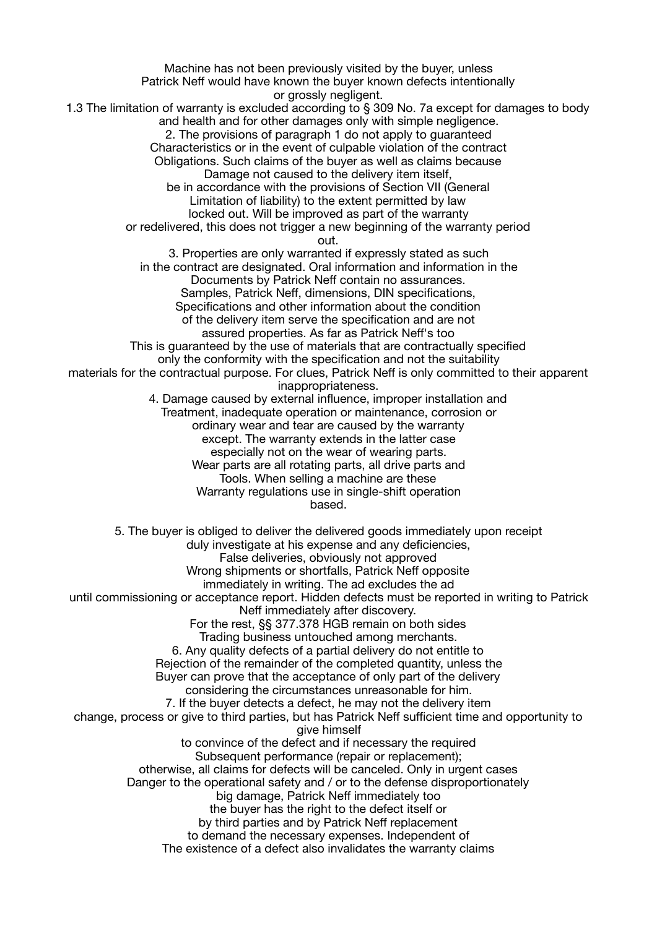Machine has not been previously visited by the buyer, unless Patrick Neff would have known the buyer known defects intentionally or grossly negligent. 1.3 The limitation of warranty is excluded according to § 309 No. 7a except for damages to body and health and for other damages only with simple negligence. 2. The provisions of paragraph 1 do not apply to guaranteed Characteristics or in the event of culpable violation of the contract Obligations. Such claims of the buyer as well as claims because Damage not caused to the delivery item itself, be in accordance with the provisions of Section VII (General Limitation of liability) to the extent permitted by law locked out. Will be improved as part of the warranty or redelivered, this does not trigger a new beginning of the warranty period out. 3. Properties are only warranted if expressly stated as such in the contract are designated. Oral information and information in the Documents by Patrick Neff contain no assurances. Samples, Patrick Neff, dimensions, DIN specifications, Specifications and other information about the condition of the delivery item serve the specification and are not assured properties. As far as Patrick Neff's too This is quaranteed by the use of materials that are contractually specified only the conformity with the specification and not the suitability materials for the contractual purpose. For clues, Patrick Neff is only committed to their apparent inappropriateness. 4. Damage caused by external influence, improper installation and Treatment, inadequate operation or maintenance, corrosion or ordinary wear and tear are caused by the warranty except. The warranty extends in the latter case especially not on the wear of wearing parts. Wear parts are all rotating parts, all drive parts and Tools. When selling a machine are these Warranty regulations use in single-shift operation based. 5. The buyer is obliged to deliver the delivered goods immediately upon receipt duly investigate at his expense and any deficiencies, False deliveries, obviously not approved Wrong shipments or shortfalls, Patrick Neff opposite immediately in writing. The ad excludes the ad until commissioning or acceptance report. Hidden defects must be reported in writing to Patrick Neff immediately after discovery. For the rest, §§ 377.378 HGB remain on both sides Trading business untouched among merchants. 6. Any quality defects of a partial delivery do not entitle to Rejection of the remainder of the completed quantity, unless the Buyer can prove that the acceptance of only part of the delivery considering the circumstances unreasonable for him. 7. If the buyer detects a defect, he may not the delivery item change, process or give to third parties, but has Patrick Neff sufficient time and opportunity to give himself to convince of the defect and if necessary the required Subsequent performance (repair or replacement); otherwise, all claims for defects will be canceled. Only in urgent cases Danger to the operational safety and / or to the defense disproportionately big damage, Patrick Neff immediately too the buyer has the right to the defect itself or by third parties and by Patrick Neff replacement to demand the necessary expenses. Independent of The existence of a defect also invalidates the warranty claims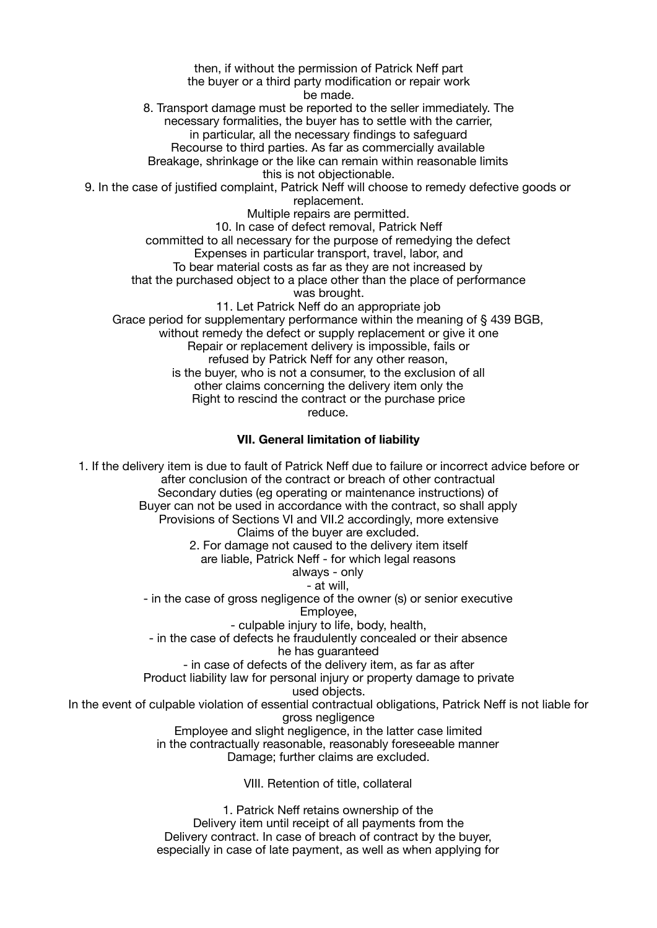then, if without the permission of Patrick Neff part the buyer or a third party modification or repair work be made. 8. Transport damage must be reported to the seller immediately. The necessary formalities, the buyer has to settle with the carrier, in particular, all the necessary findings to safeguard Recourse to third parties. As far as commercially available Breakage, shrinkage or the like can remain within reasonable limits this is not objectionable. 9. In the case of justified complaint, Patrick Neff will choose to remedy defective goods or replacement. Multiple repairs are permitted. 10. In case of defect removal, Patrick Neff committed to all necessary for the purpose of remedying the defect Expenses in particular transport, travel, labor, and To bear material costs as far as they are not increased by that the purchased object to a place other than the place of performance was brought. 11. Let Patrick Neff do an appropriate job Grace period for supplementary performance within the meaning of § 439 BGB, without remedy the defect or supply replacement or give it one Repair or replacement delivery is impossible, fails or refused by Patrick Neff for any other reason, is the buyer, who is not a consumer, to the exclusion of all other claims concerning the delivery item only the Right to rescind the contract or the purchase price reduce. **VII. General limitation of liability** 

1. If the delivery item is due to fault of Patrick Neff due to failure or incorrect advice before or after conclusion of the contract or breach of other contractual Secondary duties (eg operating or maintenance instructions) of Buyer can not be used in accordance with the contract, so shall apply Provisions of Sections VI and VII.2 accordingly, more extensive Claims of the buyer are excluded. 2. For damage not caused to the delivery item itself are liable, Patrick Neff - for which legal reasons always - only - at will, - in the case of gross negligence of the owner (s) or senior executive Employee, - culpable injury to life, body, health, - in the case of defects he fraudulently concealed or their absence he has guaranteed - in case of defects of the delivery item, as far as after Product liability law for personal injury or property damage to private used objects. In the event of culpable violation of essential contractual obligations, Patrick Neff is not liable for gross negligence Employee and slight negligence, in the latter case limited in the contractually reasonable, reasonably foreseeable manner Damage; further claims are excluded. VIII. Retention of title, collateral

> 1. Patrick Neff retains ownership of the Delivery item until receipt of all payments from the Delivery contract. In case of breach of contract by the buyer, especially in case of late payment, as well as when applying for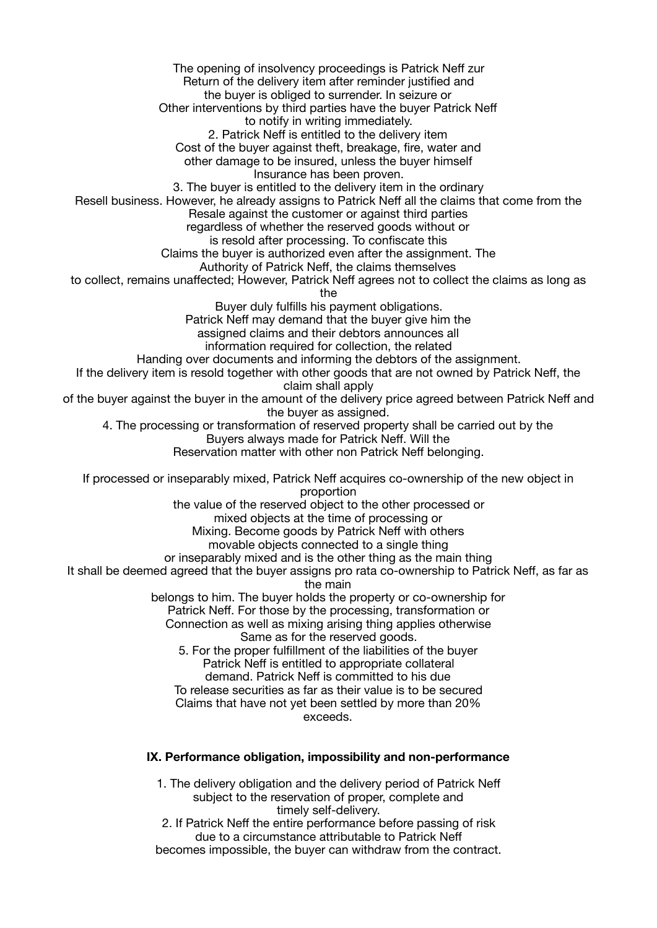The opening of insolvency proceedings is Patrick Neff zur Return of the delivery item after reminder justified and the buyer is obliged to surrender. In seizure or Other interventions by third parties have the buyer Patrick Neff to notify in writing immediately. 2. Patrick Neff is entitled to the delivery item Cost of the buyer against theft, breakage, fire, water and other damage to be insured, unless the buyer himself Insurance has been proven. 3. The buyer is entitled to the delivery item in the ordinary Resell business. However, he already assigns to Patrick Neff all the claims that come from the Resale against the customer or against third parties regardless of whether the reserved goods without or is resold after processing. To confiscate this Claims the buyer is authorized even after the assignment. The Authority of Patrick Neff, the claims themselves to collect, remains unaffected; However, Patrick Neff agrees not to collect the claims as long as the Buyer duly fulfills his payment obligations. Patrick Neff may demand that the buyer give him the assigned claims and their debtors announces all information required for collection, the related Handing over documents and informing the debtors of the assignment. If the delivery item is resold together with other goods that are not owned by Patrick Neff, the claim shall apply of the buyer against the buyer in the amount of the delivery price agreed between Patrick Neff and the buyer as assigned. 4. The processing or transformation of reserved property shall be carried out by the Buyers always made for Patrick Neff. Will the Reservation matter with other non Patrick Neff belonging. If processed or inseparably mixed, Patrick Neff acquires co-ownership of the new object in proportion the value of the reserved object to the other processed or mixed objects at the time of processing or Mixing. Become goods by Patrick Neff with others movable objects connected to a single thing or inseparably mixed and is the other thing as the main thing It shall be deemed agreed that the buyer assigns pro rata co-ownership to Patrick Neff, as far as the main belongs to him. The buyer holds the property or co-ownership for Patrick Neff. For those by the processing, transformation or Connection as well as mixing arising thing applies otherwise Same as for the reserved goods. 5. For the proper fulfillment of the liabilities of the buyer Patrick Neff is entitled to appropriate collateral demand. Patrick Neff is committed to his due To release securities as far as their value is to be secured Claims that have not yet been settled by more than 20% exceeds. **IX. Performance obligation, impossibility and non-performance** 

> 1. The delivery obligation and the delivery period of Patrick Neff subject to the reservation of proper, complete and timely self-delivery.

> 2. If Patrick Neff the entire performance before passing of risk due to a circumstance attributable to Patrick Neff becomes impossible, the buyer can withdraw from the contract.